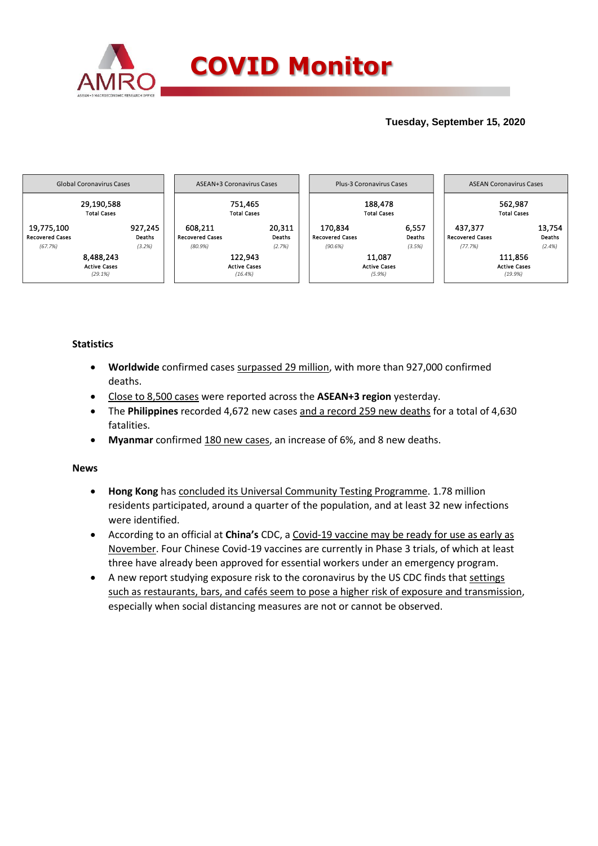

## **Tuesday, September 15, 2020**



## **Statistics**

- **Worldwide** confirmed cases surpassed 29 million, with more than 927,000 confirmed deaths.
- Close to 8,500 cases were reported across the **ASEAN+3 region** yesterday.
- The **Philippines** recorded 4,672 new cases and a record 259 new deaths for a total of 4,630 fatalities.
- **Myanmar** confirmed 180 new cases, an increase of 6%, and 8 new deaths.

## **News**

- **Hong Kong** has concluded its Universal Community Testing Programme. 1.78 million residents participated, around a quarter of the population, and at least 32 new infections were identified.
- According to an official at **China's** CDC, a Covid-19 vaccine may be ready for use as early as November. Four Chinese Covid-19 vaccines are currently in Phase 3 trials, of which at least three have already been approved for essential workers under an emergency program.
- A new report studying exposure risk to the coronavirus by the US CDC finds that settings such as restaurants, bars, and cafés seem to pose a higher risk of exposure and transmission, especially when social distancing measures are not or cannot be observed.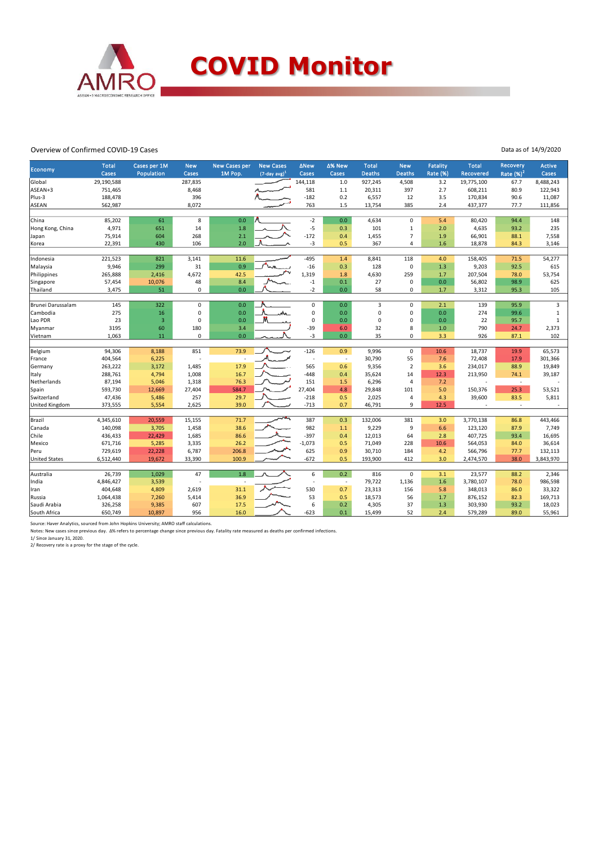

## Overview of Confirmed COVID-19 Cases

| Economy              | <b>Total</b><br><b>Cases</b> | Cases per 1M<br>Population | <b>New</b><br>Cases | <b>New Cases per</b><br>1M Pop. | <b>New Cases</b><br>$(7$ -day avg) $1$ | <b>ANew</b><br>Cases     | ∆% New<br>Cases | <b>Total</b><br><b>Deaths</b> | <b>New</b><br><b>Deaths</b> | <b>Fatality</b><br>Rate (%) | <b>Total</b><br>Recovered | <b>Recovery</b><br>Rate $(%)2$ | <b>Active</b><br>Cases |
|----------------------|------------------------------|----------------------------|---------------------|---------------------------------|----------------------------------------|--------------------------|-----------------|-------------------------------|-----------------------------|-----------------------------|---------------------------|--------------------------------|------------------------|
| Global               | 29,190,588                   |                            | 287,835             |                                 |                                        | 144,118                  | 1.0             | 927,245                       | 4,508                       | 3.2                         | 19,775,100                | 67.7                           | 8,488,243              |
| ASEAN+3              | 751,465                      |                            | 8,468               |                                 |                                        | 581                      | 1.1             | 20,311                        | 397                         | 2.7                         | 608,211                   | 80.9                           | 122,943                |
| Plus-3               | 188,478                      |                            | 396                 |                                 |                                        | $-182$                   | 0.2             | 6,557                         | 12                          | 3.5                         | 170,834                   | 90.6                           | 11,087                 |
| <b>ASEAN</b>         | 562,987                      |                            | 8,072               |                                 |                                        | 763                      | 1.5             | 13,754                        | 385                         | 2.4                         | 437,377                   | 77.7                           | 111,856                |
|                      |                              |                            |                     |                                 |                                        |                          |                 |                               |                             |                             |                           |                                |                        |
| China                | 85,202                       | 61                         | 8                   | 0.0                             |                                        | $-2$                     | 0.0             | 4,634                         | $\mathsf 0$                 | 5.4                         | 80,420                    | 94.4                           | 148                    |
| Hong Kong, China     | 4,971                        | 651                        | 14                  | 1.8                             |                                        | $-5$                     | 0.3             | 101                           | $\mathbf{1}$                | 2.0                         | 4,635                     | 93.2                           | 235                    |
| Japan                | 75,914                       | 604                        | 268                 | 2.1                             |                                        | $-172$                   | 0.4             | 1,455                         | $\overline{7}$              | 1.9                         | 66,901                    | 88.1                           | 7,558                  |
| Korea                | 22,391                       | 430                        | 106                 | 2.0                             |                                        | $-3$                     | 0.5             | 367                           | 4                           | 1.6                         | 18,878                    | 84.3                           | 3,146                  |
| Indonesia            | 221,523                      | 821                        | 3,141               | 11.6                            |                                        | $-495$                   | 1.4             | 8,841                         | 118                         | 4.0                         | 158,405                   | 71.5                           | 54,277                 |
| Malaysia             | 9,946                        | 299                        | 31                  | 0.9                             |                                        | $-16$                    | 0.3             | 128                           | $\mathbf 0$                 | 1.3                         | 9,203                     | 92.5                           | 615                    |
| Philippines          | 265,888                      | 2,416                      | 4,672               | 42.5                            |                                        | 1,319                    | 1.8             | 4,630                         | 259                         | 1.7                         | 207,504                   | 78.0                           | 53,754                 |
| Singapore            | 57,454                       | 10,076                     | 48                  | 8.4                             |                                        | $^{\rm -1}$              | 0.1             | 27                            | 0                           | 0.0                         | 56,802                    | 98.9                           | 625                    |
| Thailand             | 3,475                        | 51                         | 0                   | 0.0                             |                                        | $-2$                     | 0.0             | 58                            | $\mathbf 0$                 | 1.7                         | 3,312                     | 95.3                           | 105                    |
|                      |                              |                            |                     |                                 |                                        |                          |                 |                               |                             |                             |                           |                                |                        |
| Brunei Darussalam    | 145                          | 322                        | $\mathbf 0$         | 0.0                             |                                        | $\mathbf 0$              | 0.0             | 3                             | $\mathbf 0$                 | 2.1                         | 139                       | 95.9                           | 3                      |
| Cambodia             | 275                          | 16                         | 0                   | 0.0                             | wh.                                    | $\mathbf 0$              | 0.0             | 0                             | $\Omega$                    | 0.0                         | 274                       | 99.6                           | $\mathbf{1}$           |
| Lao PDR              | 23                           | $\overline{\mathbf{3}}$    | 0                   | 0.0                             |                                        | $\mathbf 0$              | 0.0             | $\mathbf 0$                   | $\mathbf 0$                 | 0.0                         | 22                        | 95.7                           | $\mathbf 1$            |
| Myanmar              | 3195                         | 60                         | 180                 | 3.4                             |                                        | $-39$                    | 6.0             | 32                            | 8                           | 1.0                         | 790                       | 24.7                           | 2,373                  |
| Vietnam              | 1,063                        | 11                         | 0                   | 0.0                             |                                        | $-3$                     | 0.0             | 35                            | $\mathbf 0$                 | 3.3                         | 926                       | 87.1                           | 102                    |
|                      |                              |                            |                     |                                 |                                        |                          |                 |                               |                             |                             |                           |                                |                        |
| Belgium              | 94,306                       | 8,188                      | 851                 | 73.9                            |                                        | $-126$                   | 0.9             | 9,996                         | $\mathsf 0$                 | 10.6                        | 18,737                    | 19.9                           | 65,573                 |
| France               | 404,564                      | 6,225                      |                     |                                 |                                        | $\overline{\phantom{a}}$ | . н.            | 30,790                        | 55                          | 7.6                         | 72,408                    | 17.9                           | 301,366                |
| Germany              | 263,222                      | 3,172                      | 1,485               | 17.9                            |                                        | 565                      | 0.6             | 9,356                         | $\overline{2}$              | 3.6                         | 234,017                   | 88.9                           | 19,849                 |
| Italy                | 288,761                      | 4,794                      | 1,008               | 16.7                            |                                        | $-448$                   | 0.4             | 35,624                        | 14                          | 12.3                        | 213,950                   | 74.1                           | 39,187                 |
| Netherlands          | 87,194                       | 5,046                      | 1,318               | 76.3                            |                                        | 151                      | 1.5             | 6,296                         | $\overline{a}$              | 7.2                         |                           | $\sim$                         |                        |
| Spain                | 593,730                      | 12,669                     | 27,404              | 584.7                           |                                        | 27.404                   | 4.8             | 29,848                        | 101                         | 5.0                         | 150,376                   | 25.3                           | 53,521                 |
| Switzerland          | 47,436                       | 5,486                      | 257                 | 29.7                            |                                        | $-218$                   | 0.5             | 2,025                         | $\overline{4}$              | 4.3                         | 39,600                    | 83.5                           | 5,811                  |
| United Kingdom       | 373,555                      | 5,554                      | 2,625               | 39.0                            |                                        | $-713$                   | 0.7             | 46,791                        | 9                           | 12.5                        |                           | $\sim$                         |                        |
| Brazil               | 4,345,610                    | 20,559                     | 15,155              | 71.7                            |                                        | 387                      | 0.3             | 132,006                       | 381                         | 3.0                         | 3,770,138                 | 86.8                           | 443,466                |
| Canada               | 140,098                      | 3,705                      | 1,458               | 38.6                            |                                        | 982                      | 1.1             | 9,229                         | 9                           | 6.6                         | 123,120                   | 87.9                           | 7,749                  |
| Chile                | 436,433                      | 22,429                     | 1,685               | 86.6                            |                                        | $-397$                   | 0.4             | 12,013                        | 64                          | 2.8                         | 407,725                   | 93.4                           | 16,695                 |
| Mexico               | 671,716                      | 5,285                      | 3,335               | 26.2                            |                                        | $-1,073$                 | 0.5             | 71,049                        | 228                         | 10.6                        | 564,053                   | 84.0                           | 36,614                 |
| Peru                 | 729,619                      | 22,228                     | 6,787               | 206.8                           |                                        | 625                      | 0.9             | 30,710                        | 184                         | 4.2                         | 566,796                   | 77.7                           | 132,113                |
| <b>United States</b> | 6,512,440                    | 19,672                     | 33,390              | 100.9                           |                                        | $-672$                   | 0.5             | 193,900                       | 412                         | 3.0                         | 2,474,570                 | 38.0                           | 3,843,970              |
|                      |                              |                            |                     |                                 |                                        |                          |                 |                               |                             |                             |                           |                                |                        |
| Australia            | 26,739                       | 1,029                      | 47                  | 1.8                             |                                        | 6                        | 0.2             | 816                           | $\pmb{0}$                   | 3.1                         | 23,577                    | 88.2                           | 2,346                  |
| India                | 4,846,427                    | 3,539                      |                     |                                 |                                        |                          | $\sim$          | 79,722                        | 1,136                       | 1.6                         | 3,780,107                 | 78.0                           | 986,598                |
| Iran                 | 404,648                      | 4,809                      | 2,619               | 31.1                            |                                        | 530                      | 0.7             | 23,313                        | 156                         | 5.8                         | 348,013                   | 86.0                           | 33,322                 |
| Russia               | 1,064,438                    | 7,260                      | 5,414               | 36.9                            |                                        | 53                       | 0.5             | 18,573                        | 56                          | 1.7                         | 876,152                   | 82.3                           | 169,713                |
| Saudi Arabia         | 326,258                      | 9,385                      | 607                 | 17.5                            |                                        | 6                        | 0.2             | 4,305                         | 37                          | 1.3                         | 303,930                   | 93.2                           | 18,023                 |
| South Africa         | 650,749                      | 10,897                     | 956                 | 16.0                            |                                        | $-623$                   | 0.1             | 15,499                        | 52                          | 2.4                         | 579,289                   | 89.0                           | 55,961                 |

Source: Haver Analytics, sourced from John Hopkins University; AMRO staff calculations.<br>Notes: New cases since previous day. ∆% refers to percentage change since previous day. Fatality rate measured as deaths per confirme

1/ Since January 31, 2020. 2/ Recovery rate is a proxy for the stage of the cycle.